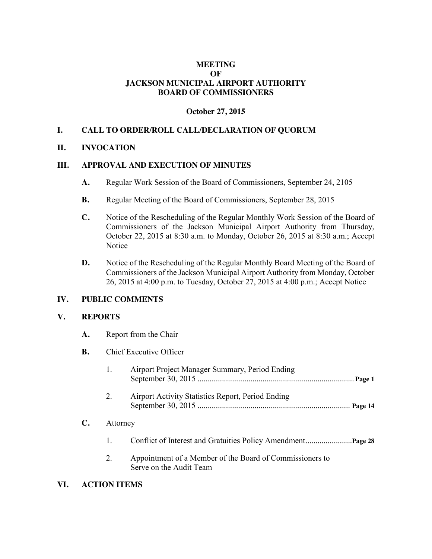# **MEETING OF JACKSON MUNICIPAL AIRPORT AUTHORITY BOARD OF COMMISSIONERS**

# **October 27, 2015**

## **I. CALL TO ORDER/ROLL CALL/DECLARATION OF QUORUM**

## **II. INVOCATION**

## **III. APPROVAL AND EXECUTION OF MINUTES**

- **A.** Regular Work Session of the Board of Commissioners, September 24, 2105
- **B.** Regular Meeting of the Board of Commissioners, September 28, 2015
- **C.** Notice of the Rescheduling of the Regular Monthly Work Session of the Board of Commissioners of the Jackson Municipal Airport Authority from Thursday, October 22, 2015 at 8:30 a.m. to Monday, October 26, 2015 at 8:30 a.m.; Accept Notice
- **D.** Notice of the Rescheduling of the Regular Monthly Board Meeting of the Board of Commissioners of the Jackson Municipal Airport Authority from Monday, October 26, 2015 at 4:00 p.m. to Tuesday, October 27, 2015 at 4:00 p.m.; Accept Notice

#### **IV. PUBLIC COMMENTS**

**A.** Report from the Chair

#### **V. REPORTS**

|     | В.             |                     | Chief Executive Officer                                                             |  |  |  |
|-----|----------------|---------------------|-------------------------------------------------------------------------------------|--|--|--|
|     |                | 1.                  | Airport Project Manager Summary, Period Ending                                      |  |  |  |
|     |                | 2.                  | Airport Activity Statistics Report, Period Ending<br>Page 14                        |  |  |  |
|     | $\mathbf{C}$ . | Attorney            |                                                                                     |  |  |  |
|     |                | 1.                  |                                                                                     |  |  |  |
|     |                | 2.                  | Appointment of a Member of the Board of Commissioners to<br>Serve on the Audit Team |  |  |  |
| VI. |                | <b>ACTION ITEMS</b> |                                                                                     |  |  |  |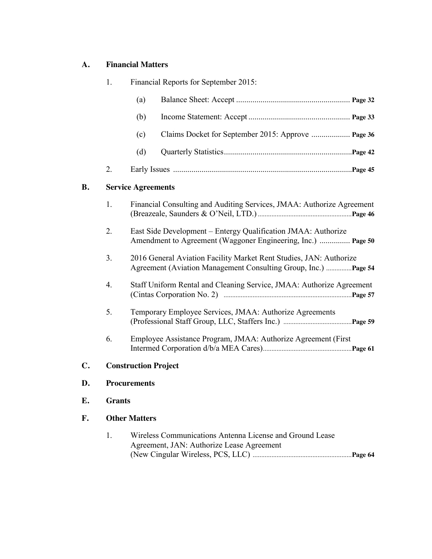# **A. Financial Matters**

|                | 1.                        | Financial Reports for September 2015: |                                                                                                                                       |  |  |
|----------------|---------------------------|---------------------------------------|---------------------------------------------------------------------------------------------------------------------------------------|--|--|
|                |                           | (a)                                   |                                                                                                                                       |  |  |
|                |                           | (b)                                   |                                                                                                                                       |  |  |
|                |                           | (c)                                   |                                                                                                                                       |  |  |
|                |                           | (d)                                   |                                                                                                                                       |  |  |
|                | 2.                        |                                       |                                                                                                                                       |  |  |
| <b>B.</b>      | <b>Service Agreements</b> |                                       |                                                                                                                                       |  |  |
|                | 1.                        |                                       | Financial Consulting and Auditing Services, JMAA: Authorize Agreement                                                                 |  |  |
|                | 2.                        |                                       | East Side Development – Entergy Qualification JMAA: Authorize<br>Amendment to Agreement (Waggoner Engineering, Inc.)  Page 50         |  |  |
|                | 3.                        |                                       | 2016 General Aviation Facility Market Rent Studies, JAN: Authorize<br>Agreement (Aviation Management Consulting Group, Inc.)  Page 54 |  |  |
|                | 4.                        |                                       | Staff Uniform Rental and Cleaning Service, JMAA: Authorize Agreement                                                                  |  |  |
|                | 5.                        |                                       | Temporary Employee Services, JMAA: Authorize Agreements                                                                               |  |  |
|                | 6.                        |                                       | Employee Assistance Program, JMAA: Authorize Agreement (First                                                                         |  |  |
| $\mathbf{C}$ . |                           | <b>Construction Project</b>           |                                                                                                                                       |  |  |
| D.             |                           | <b>Procurements</b>                   |                                                                                                                                       |  |  |
| E.             |                           | <b>Grants</b>                         |                                                                                                                                       |  |  |
| F.             |                           | <b>Other Matters</b>                  |                                                                                                                                       |  |  |

| Wireless Communications Antenna License and Ground Lease |
|----------------------------------------------------------|
| Agreement, JAN: Authorize Lease Agreement                |
|                                                          |